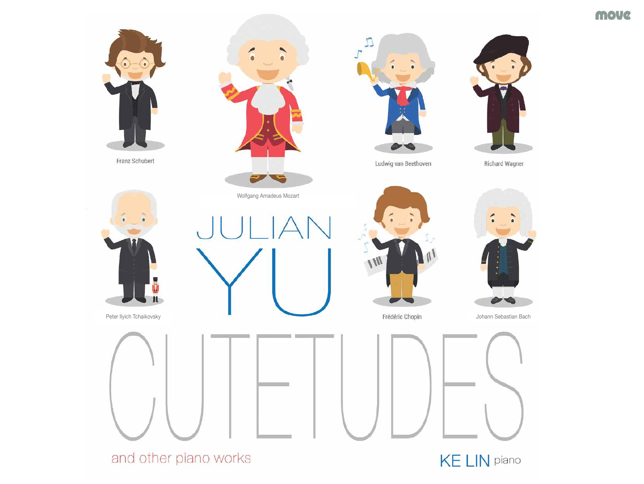move



and other piano works

**KE LIN** piano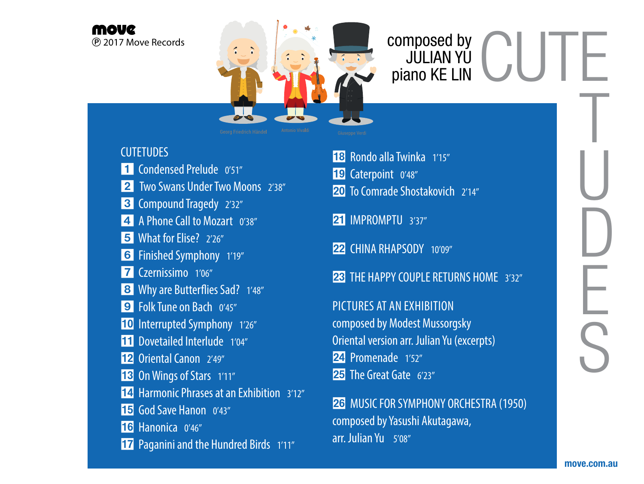



### **CUTETUDES**

- 1 Condensed Prelude 0'51"
- 2 Two Swans Under Two Moons 238"
- **3** Compound Tragedy 2'32"
- **4** A Phone Call to Mozart 0'38"
- 5 What for Elise? 2'26"
- 6 Finished Symphony 1'19"
- 7 Czernissimo 1'06"
- 8 Why are Butterflies Sad? 1'48"
- **9** Folk Tune on Bach 0'45"
- 10 Interrupted Symphony 1'26"
- **TTI** Dovetailed Interlude 1'04"
- 12 Oriental Canon 2'49"
- 13 On Wings of Stars 1'11"
- **14** Harmonic Phrases at an Exhibition 3'12"
- **15** God Save Hanon 0'43"
- 16 Hanonica 0'46"
- **17** Paganini and the Hundred Birds 1'11"
- 18 Rondo alla Twinka 1'15"
- 19 Caterpoint 0'48"
- 20 To Comrade Shostakovich 2'14"
- 21 IMPROMPTU 3'37"
- 22 CHINA RHAPSODY 10'09"
- **23 THE HAPPY COUPLE RETURNS HOME** 3'32"

PICTURES AT AN EXHIBITION composed by Modest Mussorgsky Oriental version arr. Julian Yu (excerpts) 24 Promenade 1'52" 25 The Great Gate 6'23"

26 MUSIC FOR SYMPHONY ORCHESTRA (1950) composed by Yasushi Akutagawa, arr. Julian Yu 5'08"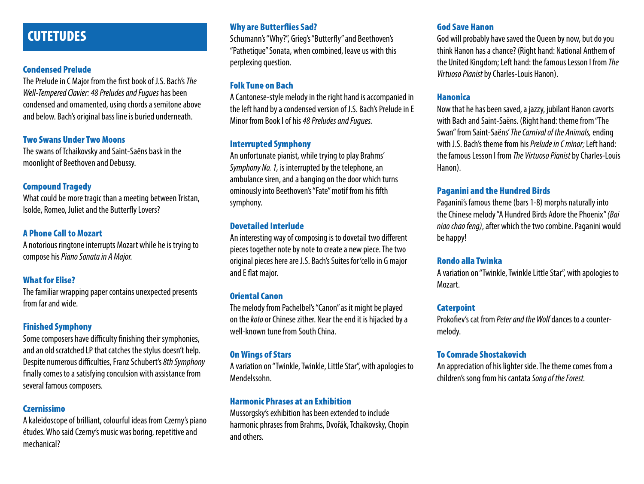### **CUTETUDES**

#### Condensed Prelude

The Prelude in C Major from the first book of J.S. Bach's *The Well-Tempered Clavier: 48 Preludes and Fugues* has been condensed and ornamented, using chords a semitone above and below. Bach's original bass line is buried underneath.

#### Two Swans Under Two Moons

The swans of Tchaikovsky and Saint-Saëns bask in the moonlight of Beethoven and Debussy.

#### Compound Tragedy

What could be more tragic than a meeting between Tristan, Isolde, Romeo, Juliet and the Butterfly Lovers?

#### A Phone Call to Mozart

A notorious ringtone interrupts Mozart while he is trying to compose his *Piano Sonata in A Major.*

#### What for **Flise?**

The familiar wrapping paper contains unexpected presents from far and wide.

#### Finished Symphony

Some composers have difficulty finishing their symphonies, and an old scratched LP that catches the stylus doesn't help. Despite numerous difficulties, Franz Schubert's *8th Symphony* finally comes to a satisfying conculsion with assistance from several famous composers.

#### Czernissimo

A kaleidoscope of brilliant, colourful ideas from Czerny's piano études. Who said Czerny's music was boring, repetitive and mechanical?

#### Why are Butterflies Sad?

Schumann's "Why?", Grieg's "Butterfly" and Beethoven's "Pathetique" Sonata, when combined, leave us with this perplexing question.

#### Folk Tune on Bach

A Cantonese-style melody in the right hand is accompanied in the left hand by a condensed version of J.S. Bach's Prelude in E Minor from Book I of his *48 Preludes and Fugues.*

#### Interrupted Symphony

An unfortunate pianist, while trying to play Brahms' *Symphony No. 1,* is interrupted by the telephone, an ambulance siren, and a banging on the door which turns ominously into Beethoven's "Fate" motif from his fifth symphony.

#### Dovetailed Interlude

An interesting way of composing is to dovetail two different pieces together note by note to create a new piece. The two original pieces here are J.S. Bach's Suites for 'cello in G major and E flat major.

#### Oriental Canon

The melody from Pachelbel's "Canon" as it might be played on the *koto* or Chinese zither. Near the end it is hijacked by a well-known tune from South China.

#### On Wings of Stars

A variation on "Twinkle, Twinkle, Little Star", with apologies to Mendelssohn.

#### Harmonic Phrases at an Exhibition

Mussorgsky's exhibition has been extended to include harmonic phrases from Brahms, Dvořák, Tchaikovsky, Chopin and others.

#### God Save Hanon

God will probably have saved the Queen by now, but do you think Hanon has a chance? (Right hand: National Anthem of the United Kingdom; Left hand: the famous Lesson I from *The Virtuoso Pianist* by Charles-Louis Hanon).

#### Hanonica

Now that he has been saved, a jazzy, jubilant Hanon cavorts with Bach and Saint-Saëns. (Right hand: theme from "The Swan" from Saint-Saëns' *The Carnival of the Animals,* ending with J.S. Bach's theme from his *Prelude in C minor;* Left hand: the famous Lesson I from *The Virtuoso Pianist* by Charles-Louis Hanon).

#### Paganini and the Hundred Birds

Paganini's famous theme (bars 1-8) morphs naturally into the Chinese melody "A Hundred Birds Adore the Phoenix" *(Bai niao chao feng)*, after which the two combine. Paganini would be happy!

#### Rondo alla Twinka

A variation on "Twinkle, Twinkle Little Star", with apologies to Mozart.

#### **Caterpoint**

Prokofiev's cat from *Peter and the Wolf* dances to a countermelody.

#### To Comrade Shostakovich

An appreciation of his lighter side. The theme comes from a children's song from his cantata *Song of the Forest.*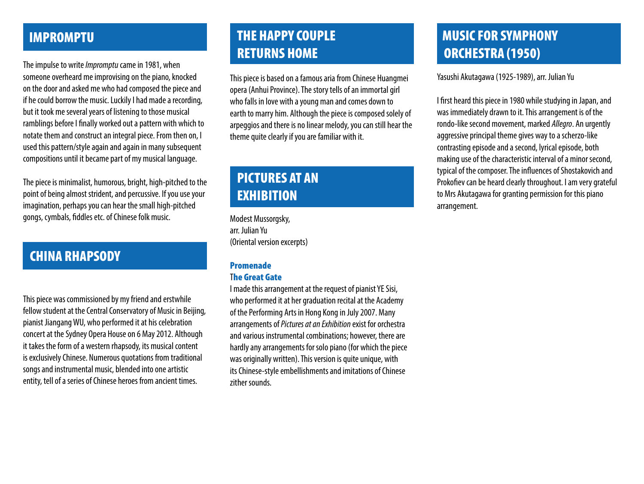### IMPROMPTU

The impulse to write *Impromptu* came in 1981, when someone overheard me improvising on the piano, knocked on the door and asked me who had composed the piece and if he could borrow the music. Luckily I had made a recording, but it took me several years of listening to those musical ramblings before I finally worked out a pattern with which to notate them and construct an integral piece. From then on, I used this pattern/style again and again in many subsequent compositions until it became part of my musical language.

The piece is minimalist, humorous, bright, high-pitched to the point of being almost strident, and percussive. If you use your imagination, perhaps you can hear the small high-pitched gongs, cymbals, fiddles etc. of Chinese folk music.

### CHINA RHAPSODY

This piece was commissioned by my friend and erstwhile fellow student at the Central Conservatory of Music in Beijing, pianist Jiangang WU, who performed it at his celebration concert at the Sydney Opera House on 6 May 2012. Although it takes the form of a western rhapsody, its musical content is exclusively Chinese. Numerous quotations from traditional songs and instrumental music, blended into one artistic entity, tell of a series of Chinese heroes from ancient times.

## THE HAPPY COUPLE RETURNS HOME

This piece is based on a famous aria from Chinese Huangmei opera (Anhui Province). The story tells of an immortal girl who falls in love with a young man and comes down to earth to marry him. Although the piece is composed solely of arpeggios and there is no linear melody, you can still hear the theme quite clearly if you are familiar with it.

## PICTURES AT AN **EXHIBITION**

Modest Mussorgsky, arr. Julian Yu (Oriental version excerpts)

#### Promenade

#### The Great Gate

I made this arrangement at the request of pianist YE Sisi, who performed it at her graduation recital at the Academy of the Performing Arts in Hong Kong in July 2007. Many arrangements of *Pictures at an Exhibition* exist for orchestra and various instrumental combinations; however, there are hardly any arrangements for solo piano (for which the piece was originally written). This version is quite unique, with its Chinese-style embellishments and imitations of Chinese zither sounds.

## MUSIC FOR SYMPHONY ORCHESTRA (1950)

Yasushi Akutagawa (1925-1989), arr. Julian Yu

I first heard this piece in 1980 while studying in Japan, and was immediately drawn to it. This arrangement is of the rondo-like second movement, marked *Allegro*. An urgently aggressive principal theme gives way to a scherzo-like contrasting episode and a second, lyrical episode, both making use of the characteristic interval of a minor second, typical of the composer. The influences of Shostakovich and Prokofiev can be heard clearly throughout. I am very grateful to Mrs Akutagawa for granting permission for this piano arrangement.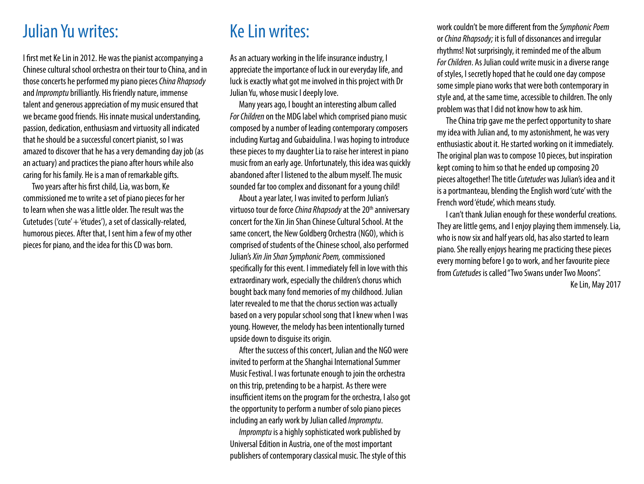## Julian Yu writes:

I first met Ke Lin in 2012. He was the pianist accompanying a Chinese cultural school orchestra on their tour to China, and in those concerts he performed my piano pieces *China Rhapsody* and *Impromptu* brilliantly. His friendly nature, immense talent and generous appreciation of my music ensured that we became good friends. His innate musical understanding, passion, dedication, enthusiasm and virtuosity all indicated that he should be a successful concert pianist, so I was amazed to discover that he has a very demanding day job (as an actuary) and practices the piano after hours while also caring for his family. He is a man of remarkable gifts.

Two years after his first child, Lia, was born, Ke commissioned me to write a set of piano pieces for her to learn when she was a little older. The result was the Cutetudes ('cute' + 'études'), a set of classically-related, humorous pieces. After that, I sent him a few of my other pieces for piano, and the idea for this CD was born.

# Ke Lin writes:

As an actuary working in the life insurance industry, I appreciate the importance of luck in our everyday life, and luck is exactly what got me involved in this project with Dr Julian Yu, whose music I deeply love.

Many years ago, I bought an interesting album called *For Children* on the MDG label which comprised piano music composed by a number of leading contemporary composers including Kurtag and Gubaidulina. I was hoping to introduce these pieces to my daughter Lia to raise her interest in piano music from an early age. Unfortunately, this idea was quickly abandoned after I listened to the album myself. The music sounded far too complex and dissonant for a young child!

About a year later, I was invited to perform Julian's virtuoso tour de force *China Rhapsody* at the 20<sup>th</sup> anniversary concert for the Xin Jin Shan Chinese Cultural School. At the same concert, the New Goldberg Orchestra (NGO), which is comprised of students of the Chinese school, also performed Julian's *Xin Jin Shan Symphonic Poem,* commissioned specifically for this event. I immediately fell in love with this extraordinary work, especially the children's chorus which bought back many fond memories of my childhood. Julian later revealed to me that the chorus section was actually based on a very popular school song that I knew when I was young. However, the melody has been intentionally turned upside down to disguise its origin.

After the success of this concert, Julian and the NGO were invited to perform at the Shanghai International Summer Music Festival. I was fortunate enough to join the orchestra on this trip, pretending to be a harpist. As there were insufficient items on the program for the orchestra, I also got the opportunity to perform a number of solo piano pieces including an early work by Julian called *Impromptu*.

*Impromptu* is a highly sophisticated work published by Universal Edition in Austria, one of the most important publishers of contemporary classical music. The style of this

work couldn't be more different from the *Symphonic Poem* or *China Rhapsody;* it is full of dissonances and irregular rhythms! Not surprisingly, it reminded me of the album *ForChildren*. As Julian could write music in a diverse range of styles, I secretly hoped that he could one day compose some simple piano works that were both contemporary in style and, at the same time, accessible to children. The only problem was that I did not know how to ask him.

The China trip gave me the perfect opportunity to share my idea with Julian and, to my astonishment, he was very enthusiastic about it. He started working on it immediately. The original plan was to compose 10 pieces, but inspiration kept coming to him so that he ended up composing 20 pieces altogether! The title *Cutetudes* was Julian's idea and it is a portmanteau, blending the English word 'cute' with the French word 'étude', which means study.

I can't thank Julian enough for these wonderful creations. They are little gems, and I enjoy playing them immensely. Lia, who is now six and half years old, has also started to learn piano. She really enjoys hearing me practicing these pieces every morning before I go to work, and her favourite piece from *Cutetudes* is called "Two Swans under Two Moons".

Ke Lin, May 2017